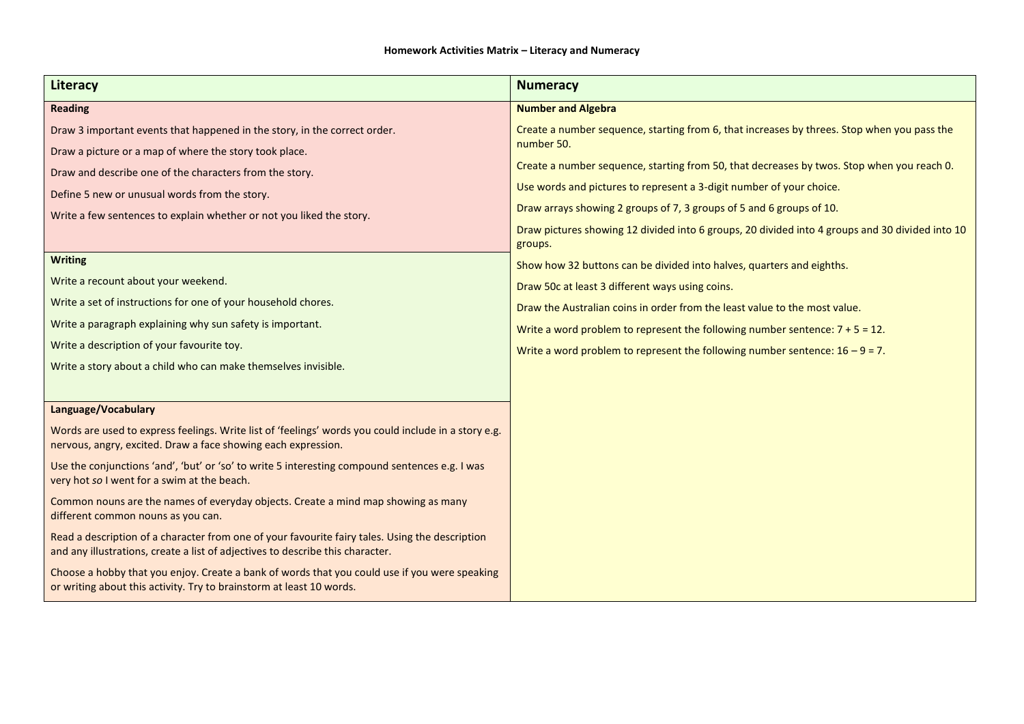| <b>Literacy</b>                                                                                                                                                                                                                                                                                                                                                                                                                                                                                                                                                                                                                | <b>Numeracy</b>                                                                                                                                                                                                                                                                                                                                                                                                                                                                                                                                                                                                                                                                                                                                                                                                                                       |
|--------------------------------------------------------------------------------------------------------------------------------------------------------------------------------------------------------------------------------------------------------------------------------------------------------------------------------------------------------------------------------------------------------------------------------------------------------------------------------------------------------------------------------------------------------------------------------------------------------------------------------|-------------------------------------------------------------------------------------------------------------------------------------------------------------------------------------------------------------------------------------------------------------------------------------------------------------------------------------------------------------------------------------------------------------------------------------------------------------------------------------------------------------------------------------------------------------------------------------------------------------------------------------------------------------------------------------------------------------------------------------------------------------------------------------------------------------------------------------------------------|
| <b>Reading</b>                                                                                                                                                                                                                                                                                                                                                                                                                                                                                                                                                                                                                 | <b>Number and Algebra</b>                                                                                                                                                                                                                                                                                                                                                                                                                                                                                                                                                                                                                                                                                                                                                                                                                             |
| Draw 3 important events that happened in the story, in the correct order.<br>Draw a picture or a map of where the story took place.<br>Draw and describe one of the characters from the story.<br>Define 5 new or unusual words from the story.<br>Write a few sentences to explain whether or not you liked the story.<br><b>Writing</b><br>Write a recount about your weekend.<br>Write a set of instructions for one of your household chores.<br>Write a paragraph explaining why sun safety is important.<br>Write a description of your favourite toy.<br>Write a story about a child who can make themselves invisible. | Create a number sequence, starting from 6, that increases by threes. Stop when you pass the<br>number 50.<br>Create a number sequence, starting from 50, that decreases by twos. Stop when you reach 0.<br>Use words and pictures to represent a 3-digit number of your choice.<br>Draw arrays showing 2 groups of 7, 3 groups of 5 and 6 groups of 10.<br>Draw pictures showing 12 divided into 6 groups, 20 divided into 4 groups and 30 divided into 10<br>groups.<br>Show how 32 buttons can be divided into halves, quarters and eighths.<br>Draw 50c at least 3 different ways using coins.<br>Draw the Australian coins in order from the least value to the most value.<br>Write a word problem to represent the following number sentence: $7 + 5 = 12$ .<br>Write a word problem to represent the following number sentence: $16 - 9 = 7$ . |
| Language/Vocabulary                                                                                                                                                                                                                                                                                                                                                                                                                                                                                                                                                                                                            |                                                                                                                                                                                                                                                                                                                                                                                                                                                                                                                                                                                                                                                                                                                                                                                                                                                       |
| Words are used to express feelings. Write list of 'feelings' words you could include in a story e.g.<br>nervous, angry, excited. Draw a face showing each expression.<br>Use the conjunctions 'and', 'but' or 'so' to write 5 interesting compound sentences e.g. I was<br>very hot so I went for a swim at the beach.<br>Common nouns are the names of everyday objects. Create a mind map showing as many<br>different common nouns as you can.<br>Read a description of a character from one of your favourite fairy tales. Using the description                                                                           |                                                                                                                                                                                                                                                                                                                                                                                                                                                                                                                                                                                                                                                                                                                                                                                                                                                       |
| and any illustrations, create a list of adjectives to describe this character.<br>Choose a hobby that you enjoy. Create a bank of words that you could use if you were speaking<br>or writing about this activity. Try to brainstorm at least 10 words.                                                                                                                                                                                                                                                                                                                                                                        |                                                                                                                                                                                                                                                                                                                                                                                                                                                                                                                                                                                                                                                                                                                                                                                                                                                       |